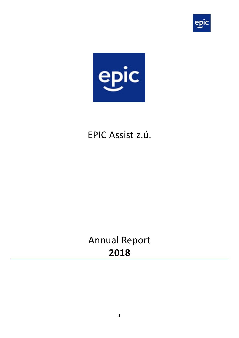



# EPIC Assist z.ú.

# Annual Report **2018**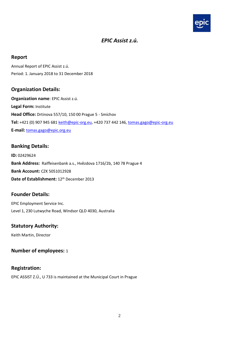

#### *EPIC Assist z.ú.*

#### **Report**

Annual Report of EPIC Assist z.ú. Period: 1. January 2018 to 31 December 2018

#### **Organization Details:**

**Organization name**: EPIC Assist z.ú. **Legal Form:** Institute **Head Office:** Drtinova 557/10, 150 00 Prague 5 - Smíchov **Tel:** +421 (0) 907 945 681 [keith@epic-org.eu,](mailto:keith@epic-org.eu) +420 737 442 146, [tomas.gago@epic-org.eu](mailto:tomas.gago@epic-org.eu) **E-mail:** [tomas.gago@epic.org.eu](mailto:tomas.gago@epic.org.eu)

#### **Banking Details:**

**ID:** 02429624 **Bank Address:** Raiffeisenbank a.s., Hvězdova 1716/2b, 140 78 Prague 4 **Bank Account:** CZK 5051012928 **Date of Establishment:** 12th December 2013

#### **Founder Details:**

EPIC Employment Service Inc. Level 1, 230 Lutwyche Road, Windsor QLD 4030, Australia

#### **Statutory Authority:**

Keith Martin, Director

#### **Number of employees:** 1

#### **Registration:**

EPIC ASSIST Z.Ú., U 733 is maintained at the Municipal Court in Prague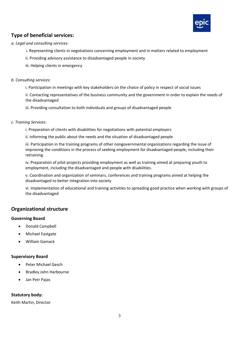

#### **Type of beneficial services:**

#### *a. Legal and consulting services:*

- i. Representing clients in negotiations concerning employment and in matters related to employment
- ii. Providing advisory assistance to disadvantaged people in society
- iii. Helping clients in emergency

#### *b. Consulting services:*

i. Participation in meetings with key stakeholders on the choice of policy in respect of social issues

ii. Contacting representatives of the business community and the government in order to explain the needs of the disadvantaged

iii. Providing consultation to both individuals and groups of disadvantaged people

- *c. Training Services:*
	- i. Preparation of clients with disabilities for negotiations with potential employers

ii. Informing the public about the needs and the situation of disadvantaged people

iii. Participation in the training programs of other nongovernmental organizations regarding the issue of improving the conditions in the process of seeking employment for disadvantaged people, including their retraining

iv. Preparation of pilot projects providing employment as well as training aimed at preparing youth to employment, including the disadvantaged and people with disabilities.

v. Coordination and organization of seminars, conferences and training programs aimed at helping the disadvantaged to better integration into society

vi. Implementation of educational and training activities to spreading good practice when working with groups of the disadvantaged

#### **Organizational structure**

#### **Governing Board**

- Donald Campbell
- Michael Eastgate
- William Gamack

#### **Supervisory Board**

- Peter Michael Gesch
- Bradley John Harbourne
- Jan Petr Pajas

#### **Statutory body:**

Keith Martin, Director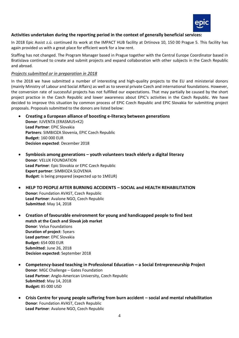

#### **Activities undertaken during the reporting period in the context of generally beneficial services:**

In 2018 Epic Assist z.ú. continued its work at the IMPACT HUB facility at Drtinova 10, 150 00 Prague 5. This facility has again provided us with a great place for efficient work for a low rent.

Staffing has not changed. The Program Manager based in Prague together with the Central Europe Coordinator based in Bratislava continued to create and submit projects and expand collaboration with other subjects in the Czech Republic and abroad.

#### *Projects submitted or in preparation in 2018*

In the 2018 we have submitted a number of interesting and high-quality projects to the EU and ministerial donors (mainly Ministry of Labour and Social Affairs) as well as to several private Czech and international foundations. However, the conversion rate of successful projects has not fulfilled our expectations. That may partially be caused by the short project practice in the Czech Republic and lower awareness about EPIC's activities in the Czech Republic. We have decided to improve this situation by common process of EPIC Czech Republic and EPIC Slovakia for submitting project proposals. Proposals submitted to the donors are listed below:

• **Creating a European alliance of boosting e-literacy between generations**

**Donor**: IUVENTA (ERASMUS+K2) **Lead Partner**: EPIC Slovakia **Partners**: SIMBIOZA Slovenia, EPIC Czech Republic **Budget**: 160 000 EUR **Decision expected**: December 2018

- **Symbiosis among generations – youth volunteers teach elderly a digital literacy Donor**: VELUX FOUNDATION **Lead Partner**: Epic Slovakia or EPIC Czech Republic **Expert partner**: SIMBIOZA SLOVENIA **Budget**: is being prepared (expected up to 1MEUR)
- **HELP TO PEOPLE AFTER BURNING ACCIDENTS – SOCIAL and HEALTH REHABILITATION Donor:** Foundation AVAST, Czech Republic **Lead Partner**: Avalone NGO, Czech Republic **Submitted**: May 14, 2018
- **Creation of favourable environment for young and handicapped people to find best match at the Czech and Slovak job market Donor**: Velux Foundations **Duration of project**: 5years **Lead partner**: EPIC Slovakia **Budget:** 654 000 EUR **Submitted**: June 26, 2018 **Decision expected:** September 2018
- **Competency-based teaching in Professional Education – a Social Entrepreneurship Project Donor**: MGC Challenge – Gates Foundation **Lead Partner**: Anglo-American University, Czech Republic **Submitted**: May 14, 2018 **Budget:** 85 000 USD
- **Crisis Centre for young people suffering from burn accident – social and mental rehabilitation Donor**: Foundation AVAST, Czech Republic **Lead Partner**: Avalone NGO, Czech Republic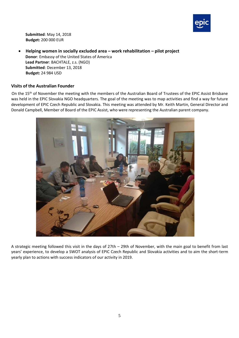

**Submitted**: May 14, 2018 **Budget:** 200 000 EUR

• **Helping women in socially excluded area – work rehabilitation – pilot project Donor**: Embassy of the United States of America **Lead Partner**: BACHTALE, z.s. (NGO) **Submitted**: December 13, 2018 **Budget:** 24 984 USD

#### **Visits of the Australian Founder**

On the 15<sup>th</sup> of November the meeting with the members of the Australian Board of Trustees of the EPIC Assist Brisbane was held in the EPIC Slovakia NGO headquarters. The goal of the meeting was to map activities and find a way for future development of EPIC Czech Republic and Slovakia. This meeting was attended by Mr. Keith Martin, General Director and Donald Campbell, Member of Board of the EPIC Assist, who were representing the Australian parent company.



A strategic meeting followed this visit in the days of 27th – 29th of November, with the main goal to benefit from last years' experience, to develop a SWOT analysis of EPIC Czech Republic and Slovakia activities and to aim the short-term yearly plan to actions with success indicators of our activity in 2019.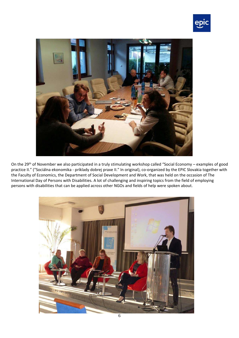



On the 29<sup>th</sup> of November we also participated in a truly stimulating workshop called "Social Economy – examples of good practice II." ("Sociálna ekonomika - príklady dobrej praxe II." In original), co-organized by the EPIC Slovakia together with the Faculty of Economics, the Department of Social Development and Work, that was held on the occasion of The International Day of Persons with Disabilities. A lot of challenging and inspiring topics from the field of employing persons with disabilities that can be applied across other NGOs and fields of help were spoken about.

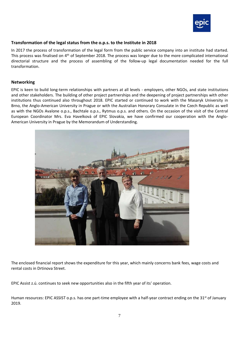

#### **Transformation of the legal status from the o.p.s. to the Institute in 2018**

In 2017 the process of transformation of the legal form from the public service company into an institute had started. This process was finalised on 4<sup>th</sup> of September 2018. The process was longer due to the more complicated international directorial structure and the process of assembling of the follow-up legal documentation needed for the full transformation.

#### **Networking**

EPIC is keen to build long-term relationships with partners at all levels - employers, other NGOs, and state institutions and other stakeholders. The building of other project partnerships and the deepening of project partnerships with other institutions thus continued also throughout 2018. EPIC started or continued to work with the Masaryk University in Brno, the Anglo-American University in Prague or with the Australian Honorary Consulate in the Czech Republic as well as with the NGOs Avalone o.p.s., Bachtale o.p.s., Rytmus o.p.s. and others. On the occasion of the visit of the Central European Coordinator Mrs. Eva Havelková of EPIC Slovakia, we have confirmed our cooperation with the Anglo-American University in Prague by the Memorandum of Understanding.



The enclosed financial report shows the expenditure for this year, which mainly concerns bank fees, wage costs and rental costs in Drtinova Street.

EPIC Assist z.ú. continues to seek new opportunities also in the fifth year of its' operation.

Human resources: EPIC ASSIST o.p.s. has one part-time employee with a half-year contract ending on the 31<sup>st</sup> of January 2019.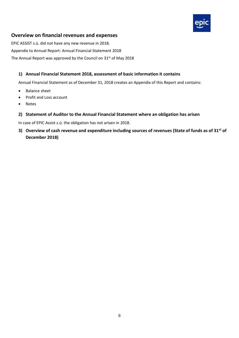

#### **Overview on financial revenues and expenses**

EPIC ASSIST z.ú. did not have any new revenue in 2018. Appendix to Annual Report: Annual Financial Statement 2018 The Annual Report was approved by the Council on 31<sup>st</sup> of May 2018

#### **1) Annual Financial Statement 2018, assessment of basic information it contains**

Annual Financial Statement as of December 31, 2018 creates an Appendix of this Report and contains:

- Balance sheet
- Profit and Loss account
- Notes
- **2) Statement of Auditor to the Annual Financial Statement where an obligation has arisen**

In case of EPIC Assist z.ú. the obligation has not arisen in 2018.

**3) Overview of cash revenue and expenditure including sources of revenues (State of funds as of 31st of December 2018)**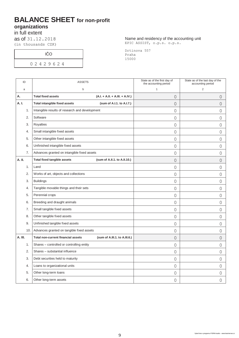### **BALANCE SHEET for non-profit organizations**

in full extent

as of 31.12.2018 (in thousands CZK)

IČO

0 2 4 2 9 6 2 4

Name and residency of the accounting unit EPIC ASSIST, o.p.s. o.p.s.

Drtinova 557 Praha 15000

| ID      |     | <b>ASSETS</b>                                  |                                    | State as of the first day of<br>the accounting period | State as of the last day of the<br>accounting period |
|---------|-----|------------------------------------------------|------------------------------------|-------------------------------------------------------|------------------------------------------------------|
| a       |     | b                                              |                                    | $\mathbf{1}$                                          | $\overline{2}$                                       |
| А.      |     | <b>Total fixed assets</b>                      | $(A.I. + A.I.I. + A.III. + A.IV.)$ | $\overline{O}$                                        | $\overline{0}$                                       |
| A. I.   |     | <b>Total intangible fixed assets</b>           | (sum of A.I.1. to A.I.7.)          | $\overline{O}$                                        | $\overline{0}$                                       |
|         | 1.  | Intangible results of research and development |                                    | $\overline{0}$                                        | $\overline{0}$                                       |
|         | 2.  | Software                                       |                                    | $\overline{0}$                                        | $\Omega$                                             |
|         | 3.  | Royalties                                      |                                    | $\circ$                                               | 0                                                    |
|         | 4.  | Small intangible fixed assets                  |                                    | $\overline{0}$                                        | 0                                                    |
|         | 5.  | Other intangible fixed assets                  |                                    | $\overline{0}$                                        | 0                                                    |
|         | 6.  | Unfinished intangible fixed assets             |                                    | $\overline{O}$                                        | 0                                                    |
|         | 7.  | Advances granted on intangible fixed assets    |                                    | $\overline{0}$                                        | $\overline{0}$                                       |
| A. II.  |     | <b>Total fixed tangible assets</b>             | (sum of A.II.1. to A.II.10.)       | $\overline{O}$                                        | $\overline{0}$                                       |
|         | 1.  | Land                                           |                                    | 0                                                     | 0                                                    |
|         | 2.  | Works of art, objects and collections          |                                    | 0                                                     | 0                                                    |
|         | 3.  | <b>Buildings</b>                               |                                    | $\overline{O}$                                        | 0                                                    |
|         | 4.  | Tangible movable things and their sets         |                                    | 0                                                     | 0                                                    |
|         | 5.  | Perennial crops                                |                                    | $\overline{O}$                                        | $\overline{0}$                                       |
|         | 6.  | Breeding and draught animals                   |                                    | $\overline{0}$                                        | $\overline{0}$                                       |
|         | 7.  | Small tangible fixed assets                    |                                    | 0                                                     | $\overline{0}$                                       |
|         | 8.  | Other tangible fixed assets                    |                                    | $\overline{0}$                                        | 0                                                    |
|         | 9.  | Unfinished tangible fixed assets               |                                    | 0                                                     | 0                                                    |
|         | 10. | Advances granted on tangible fixed assets      |                                    | $\overline{0}$                                        | 0                                                    |
| A. III. |     | <b>Total non-current financial assets</b>      | (sum of A.III.1. to A.III.6.)      | $\mathbf 0$                                           | $\overline{O}$                                       |
|         | 1.  | Shares - controlled or controlling entity      |                                    | $\overline{0}$                                        | $\overline{0}$                                       |
|         | 2.  | Shares - substantial influence                 |                                    | $\overline{0}$                                        | $\overline{0}$                                       |
|         | 3.  | Debt securities held to maturity               |                                    | $\overline{0}$                                        | $\overline{0}$                                       |
|         | 4.  | Loans to organizational units                  |                                    | $\overline{0}$                                        | 0                                                    |
|         | 5.  | Other long-term loans                          |                                    | 0                                                     | 0                                                    |
|         | 6.  | Other long-term assets                         |                                    | 0                                                     | 0                                                    |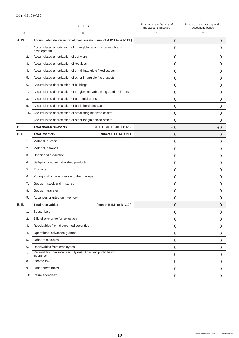| ID            |     | <b>ASSETS</b>                                                                 | State as of the first day of<br>the accounting period | State as of the last day of the<br>accounting period |
|---------------|-----|-------------------------------------------------------------------------------|-------------------------------------------------------|------------------------------------------------------|
| a             |     | b                                                                             | 1                                                     | 2                                                    |
| A. IV.        |     | Accumulated depreciation of fixed assets (sum of A.IV.1 to A.IV.11.)          | 0                                                     | 0                                                    |
|               | 1.  | Accumulated amortization of intangible results of research and<br>development | 0                                                     | 0                                                    |
|               | 2.  | Accumulated amortization of software                                          | 0                                                     | 0                                                    |
|               | 3.  | Accumulated amortization of royalties                                         | 0                                                     | 0                                                    |
|               | 4.  | Accumulated amortization of small intangible fixed assets                     | 0                                                     | 0                                                    |
|               | 5.  | Accumulated amortization of other intangible fixed assets                     | 0                                                     | 0                                                    |
|               | 6.  | Accumulated depreciation of buildings                                         | 0                                                     | 0                                                    |
|               | 7.  | Accumulated depreciation of tangible movable things and their sets            | 0                                                     | 0                                                    |
|               | 8.  | Accumulated depreciation of perennial crops                                   | $\overline{0}$                                        | 0                                                    |
|               | 9.  | Accumulated depreciation of basic herd and cattle                             | 0                                                     | 0                                                    |
|               | 10. | Accumulated depreciation of small tangible fixed assets                       | 0                                                     | 0                                                    |
|               | 11. | Accumulated depreciation of other tangible fixed assets                       | 0                                                     | 0                                                    |
| В.            |     | <b>Total short-term assets</b><br>$(B.I. + B.I.I. + B.III. + B.IV.)$          | 60                                                    | 90                                                   |
| <b>B.I.</b>   |     | (sum of B.I.1. to B.I.9.)<br><b>Total inventory</b>                           | 0                                                     | 0                                                    |
|               | 1.  | Material in stock                                                             | 0                                                     | 0                                                    |
|               | 2.  | Material in transit                                                           | 0                                                     | 0                                                    |
|               | 3.  | Unfinished production                                                         | 0                                                     | 0                                                    |
|               | 4.  | Self-produced semi-finished products                                          | $\mathbf 0$                                           | 0                                                    |
|               | 5.  | Products                                                                      | 0                                                     | 0                                                    |
|               | 6.  | Young and other animals and their groups                                      | $\mathsf{O}$                                          | 0                                                    |
|               | 7.  | Goods in stock and in stores                                                  | 0                                                     | 0                                                    |
|               | 8.  | Goods in transfer                                                             | 0                                                     | 0                                                    |
|               | 9.  | Advances granted on inventory                                                 | 0                                                     | 0                                                    |
| <b>B. II.</b> |     | <b>Total receivables</b><br>(sum of B.II.1. to B.II.19.)                      | 0                                                     | 0                                                    |
|               | 1.  | Subscribers                                                                   | $\overline{0}$                                        | 0                                                    |
|               | 2.  | Bills of exchange for collection                                              | $\overline{0}$                                        | 0                                                    |
|               | 3.  | Receivables from discounted securities                                        | $\overline{0}$                                        | 0                                                    |
|               | 4.  | Operational advances granted                                                  | $\overline{0}$                                        | 0                                                    |
|               | 5.  | Other receivables                                                             | 0                                                     | 0                                                    |
|               | 6.  | Receivables from employees                                                    | $\overline{0}$                                        | 0                                                    |
|               | 7.  | Receivables from social security institutions and public health<br>insurance  | $\overline{0}$                                        | 0                                                    |
|               | 8.  | Income tax                                                                    | $\circledcirc$                                        | 0                                                    |
|               | 9.  | Other direct taxes                                                            | $\mathsf{O}$                                          | 0                                                    |
|               | 10. | Value added tax                                                               | $\circledcirc$                                        | 0                                                    |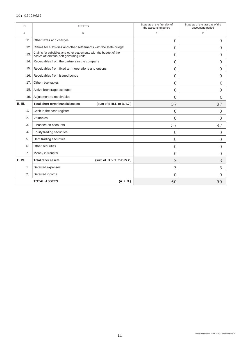#### IČ: 02429624

| ID             | <b>ASSETS</b>                                                                                                   | State as of the first day of<br>the accounting period | State as of the last day of the<br>accounting period |
|----------------|-----------------------------------------------------------------------------------------------------------------|-------------------------------------------------------|------------------------------------------------------|
| a              | b                                                                                                               | 1                                                     | $\overline{2}$                                       |
| 11.            | Other taxes and charges                                                                                         | 0                                                     | 0                                                    |
| 12.            | Claims for subsidies and other settlements with the state budget                                                | 0                                                     | 0                                                    |
| 13.            | Claims for subsidies and other settlements with the budget of the<br>bodies of territorial self-governing units | 0                                                     | 0                                                    |
| 14.            | Receivables from the partners in the company                                                                    | 0                                                     | 0                                                    |
| 15.            | Receivables from fixed term operations and options                                                              | 0                                                     | 0                                                    |
| 16.            | Receivables from issued bonds                                                                                   | 0                                                     | 0                                                    |
| 17.            | Other receivables                                                                                               | 0                                                     | $\Omega$                                             |
| 18.            | Active brokerage accounts                                                                                       | $\overline{0}$                                        | 0                                                    |
| 19.            | Adjustment to receivables                                                                                       | 0                                                     | $\Omega$                                             |
| <b>B. III.</b> | <b>Total short-term financial assets</b><br>(sum of B.III.1. to B.III.7.)                                       | 57                                                    | 87                                                   |
| 1.             | Cash in the cash register                                                                                       | 0                                                     | 0                                                    |
| 2.             | Valuables                                                                                                       | 0                                                     | 0                                                    |
| 3.             | Finances on accounts                                                                                            | 57                                                    | 87                                                   |
| 4.             | Equity trading securities                                                                                       | 0                                                     | 0                                                    |
| 5.             | Debt trading securities                                                                                         | 0                                                     | 0                                                    |
| 6.             | Other securities                                                                                                | 0                                                     | 0                                                    |
| 7.             | Money in transfer                                                                                               | 0                                                     | 0                                                    |
| <b>B. IV.</b>  | <b>Total other assets</b><br>(sum of. B.IV.1. to B.IV.2.)                                                       | 3                                                     | 3                                                    |
| 1.             | Deferred expenses                                                                                               | 3                                                     | 3                                                    |
| 2.             | Deferred income                                                                                                 | 0                                                     | 0                                                    |
|                | <b>TOTAL ASSETS</b><br>$(A. + B.)$                                                                              | 60                                                    | 90                                                   |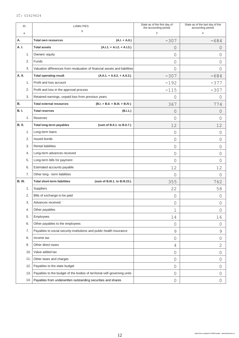| ID             |     | <b>LIABILITIES</b>                                                         | State as of the first day of<br>the accounting period | State as of the last day of the<br>accounting period |
|----------------|-----|----------------------------------------------------------------------------|-------------------------------------------------------|------------------------------------------------------|
| a              |     | b                                                                          | 3                                                     | 4                                                    |
| А.             |     | <b>Total own resources</b><br>$(A.I. + A.II.)$                             | $-307$                                                | $-684$                                               |
| A. I.          |     | <b>Total assets</b><br>$(A.I.1. + A.I.2. + A.I.3.)$                        | 0                                                     | 0                                                    |
|                | 1.  | Owners' equity                                                             | $\mathbf 0$                                           | 0                                                    |
|                | 2.  | Funds                                                                      | $\Omega$                                              | 0                                                    |
|                | 3.  | Valuation differences from revaluation of financial assets and liabilities | $\mathbf 0$                                           | 0                                                    |
| A. II.         |     | <b>Total operating result</b><br>$(A.I.I.1. + A.I.I.2. + A.I.I.3.)$        | $-307$                                                | $-684$                                               |
|                | 1.  | Profit and loss account                                                    | $-192$                                                | $-377$                                               |
|                | 2.  | Profit and loss in the approval process                                    | $-115$                                                | $-307$                                               |
|                | 3.  | Retained earnings, unpaid loss from previous years                         | 0                                                     | 0                                                    |
| <b>B.</b>      |     | <b>Total external resources</b><br>$(B.I. + B.I.I. + B.III. + B.IV.)$      | 367                                                   | 774                                                  |
| <b>B.I.</b>    |     | <b>Total reserves</b><br>(B.I.1.)                                          | 0                                                     | 0                                                    |
|                | 1.  | Reserves                                                                   | 0                                                     | 0                                                    |
| <b>B. II.</b>  |     | <b>Total long-term payables</b><br>(sum of B.II.1. to B.II.7.)             | 12                                                    | 12                                                   |
|                | 1.  | Long-term loans                                                            | 0                                                     | 0                                                    |
|                | 2.  | <b>Issued bonds</b>                                                        | 0                                                     | $\Omega$                                             |
|                | 3.  | <b>Rental liabilities</b>                                                  | 0                                                     | 0                                                    |
|                | 4.  | Long-term advances received                                                | $\mathbf 0$                                           | 0                                                    |
|                | 5.  | Long-term bills for payment                                                | $\Omega$                                              | 0                                                    |
|                | 6.  | Estimated accounts payable                                                 | 12                                                    | 12                                                   |
|                | 7.  | Other long - term liabilities                                              | 0                                                     | 0                                                    |
| <b>B. III.</b> |     | <b>Total short-term liabilities</b><br>(sum of B.III.1. to B.III.23.)      | 355                                                   | 762                                                  |
|                | 1.  | Suppliers                                                                  | 22                                                    | 58                                                   |
|                | 2.  | Bills of exchange to be paid                                               | $\mathsf{O}\xspace$                                   | 0                                                    |
|                | 3.  | Advances received                                                          | $\mathbf 0$                                           | O                                                    |
|                | 4.  | Other payables                                                             | $\mathbf 1$                                           | 0                                                    |
|                | 5.  | Employees                                                                  | 14                                                    | 16                                                   |
|                | 6.  | Other payables to the employees                                            | $\mathsf{O}$                                          | 0                                                    |
|                | 7.  | Payables to social security institutions and public health insurance       | $\mathcal{G}$                                         | $\mathsf 9$                                          |
|                | 8.  | Income tax                                                                 | $\mathsf{O}$                                          | $\mathsf{O}$                                         |
|                | 9.  | Other direct taxes                                                         | 4                                                     | $\mathbf{2}$                                         |
|                | 10. | Value added tax                                                            | $\mathsf{O}$                                          | $\mathsf{O}$                                         |
|                | 11. | Other taxes and charges                                                    | $\mathsf{O}$                                          | 0                                                    |
|                | 12. | Payables to the state budget                                               | $\mathsf{O}$                                          | $\overline{0}$                                       |
|                | 13. | Payables to the budget of the bodies of territorial self-governing units   | $\mathsf{O}$                                          | 0                                                    |
|                | 14. | Payables from underwritten outstanding securities and shares               | $\mathsf{O}$                                          | 0                                                    |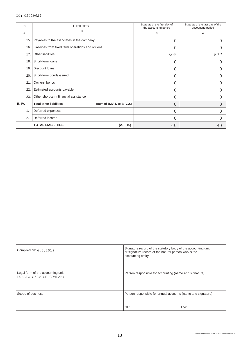| ID            | <b>LIABILITIES</b>                                            | State as of the first day of<br>the accounting period | State as of the last day of the<br>accounting period |
|---------------|---------------------------------------------------------------|-------------------------------------------------------|------------------------------------------------------|
| a             | b                                                             | 3                                                     | 4                                                    |
| 15.           | Payables to the associates in the company                     | 0                                                     | 0                                                    |
| 16.           | Liabilities from fixed term operations and options            | 0                                                     | 0                                                    |
| 17.           | Other liabilities                                             | 305                                                   | 677                                                  |
| 18.           | Short-term loans                                              | 0                                                     | 0                                                    |
| 19.           | Discount loans                                                | 0                                                     | 0                                                    |
| 20.           | Short-term bonds issued                                       | 0                                                     | 0                                                    |
| 21            | Owners' bonds                                                 | 0                                                     | 0                                                    |
| 22            | Estimated accounts payable                                    | 0                                                     | 0                                                    |
| 23.           | Other short-term financial assistance                         | 0                                                     | 0                                                    |
| <b>B. IV.</b> | (sum of B.IV.1. to B.IV.2.)<br><b>Total other liabilities</b> | 0                                                     | 0                                                    |
| 1.            | Deferred expenses                                             | 0                                                     | 0                                                    |
| 2.            | Deferred income                                               | 0                                                     | 0                                                    |
|               | <b>TOTAL LIABILITIES</b><br>$(A. + B.)$                       | 60                                                    | 90                                                   |

| Compiled on: 6.3.2019                                       | Signature record of the statutory body of the accounting unit<br>or signature record of the natural person who is the<br>accounting entity |
|-------------------------------------------------------------|--------------------------------------------------------------------------------------------------------------------------------------------|
|                                                             |                                                                                                                                            |
| Legal form of the accounting unit<br>PUBLIC SERVICE COMPANY | Person responsible for accounting (name and signature)                                                                                     |
| Scope of business                                           | Person responsible for annual accounts (name and signature)                                                                                |
|                                                             | $tel.$ :<br>line:                                                                                                                          |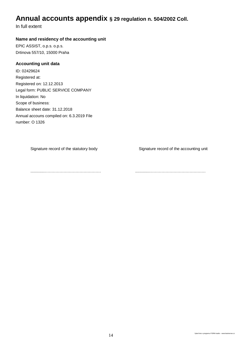### **Annual accounts appendix § 29 regulation n. 504/2002 Coll.**

In full extent

#### **Name and residency of the accounting unit**

EPIC ASSIST, o.p.s. o.p.s. Drtinova 557/10, 15000 Praha

#### **Accounting unit data**

ID: 02429624 Registered at: Registered on: 12.12.2013 Legal form: PUBLIC SERVICE COMPANY In liquidation: No Scope of business: Balance sheet date: 31.12.2018 Annual accouns compiled on: 6.3.2019 File number: O 1326

Signature record of the statutory body Signature record of the accounting unit

.............…………………………………… .............……………………………………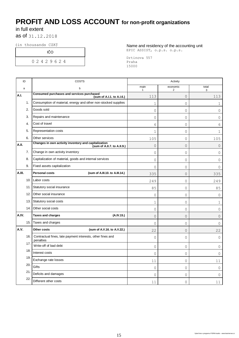## **PROFIT AND LOSS ACCOUNT for non-profit organizations**

### in full extent

as of 31.12.2018

IČO

0 2 4 2 9 6 2 4

(in thousands CZKˇ) Name and residency of the accounting unit EPIC ASSIST, o.p.s. o.p.s.

> Drtinova 557 Praha 15000

| ID     |      | <b>COSTS</b>                                                                        | Activity             |               |                     |
|--------|------|-------------------------------------------------------------------------------------|----------------------|---------------|---------------------|
| a      |      | b                                                                                   | main<br>$\mathbf{1}$ | economic<br>2 | total<br>3          |
| A.I.   |      | Consumed purchases and services purchased<br>(sum of A.I.1. to A.I.6.)              | 113                  | 0             | 113                 |
|        | 1.   | Consumption of material, energy and other non-stocked supplies                      | $\mathbf{1}$         | $\Omega$      | 1                   |
|        | 2.   | Goods sold                                                                          | $\mathsf O$          | 0             | 0                   |
|        | 3.   | Repairs and maintenance                                                             | $\mathsf O$          | 0             | 0                   |
|        | 4.   | Cost of travel                                                                      | 6                    | 0             | 6                   |
|        | 5.   | Representation costs                                                                | $\mathbf 1$          | 0             | 1                   |
|        | 6.   | Other services                                                                      | 105                  | $\Omega$      | 105                 |
| A.II.  |      | Changes in own activity inventory and capitalization<br>(sum of A.II.7. to A.II.9.) | $\mathsf O$          | 0             | 0                   |
|        | 7.   | Change in own activity inventory                                                    | 0                    | 0             | 0                   |
|        | 8.   | Capitalization of material, goods and internal services                             | $\mathsf O$          | 0             | 0                   |
|        | 9.   | Fixed assets capitalization                                                         | $\Omega$             | $\Omega$      | 0                   |
| A.III. |      | <b>Personal costs</b><br>(sum of A.III.10. to A.III.14.)                            | 335                  | 0             | 335                 |
|        | 10.  | Labor costs                                                                         | 249                  | 0             | 249                 |
|        | 11.  | Statutory social insurance                                                          | 85                   | 0             | 85                  |
|        | 12.  | Other social insurance                                                              | 0                    | $\Omega$      | 0                   |
|        | 13.  | Statutory social costs                                                              | $\mathbf 1$          | 0             | 1                   |
|        | 14.  | Other social costs                                                                  | $\mathsf O$          | 0             | 0                   |
| A.IV.  |      | <b>Taxes and charges</b><br>(A.IV.15.)                                              | 0                    | 0             | 0                   |
|        | 15.1 | Taxes and charges                                                                   | $\mathbf 0$          | 0             | 0                   |
| A.V.   |      | Other costs<br>(sum of A.V.16. to A.V.22.)                                          | 22                   | $\Omega$      | 22                  |
|        | 16.  | Contractual fines, late payment interests, other fines and<br>penalties             | $\mathsf{O}$         | 0             | $\mathsf{O}\xspace$ |
|        | 17.  | Write-off of bad debt                                                               | $\mathsf O$          | 0             | 0                   |
|        | 18.  | Interest costs                                                                      | $\mathsf O$          | 0             | 0                   |
|        | 19   | Exchange rate losses                                                                | 11                   | 0             | 11                  |
|        | 20.  | Gifts                                                                               | 0                    | 0             | $\circ$             |
|        | 21   | Deficits and damages                                                                | $\overline{0}$       | 0             | 0                   |
|        | 22.  | Different other costs                                                               | 11                   | 0             | 11                  |
|        |      |                                                                                     |                      |               |                     |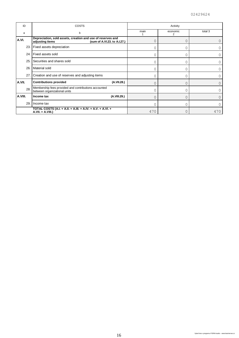| ID      | COSTS                                                                                                          | Activity |               |         |
|---------|----------------------------------------------------------------------------------------------------------------|----------|---------------|---------|
| а       | b                                                                                                              | main     | economic<br>2 | total 3 |
| A.VI.   | Depreciation, sold assets, creation and use of reserves and<br>(sum of A.VI.23. to A.I.27.)<br>adjusting items | 0        |               |         |
|         | 23. Fixed assets depreciation                                                                                  | $\Omega$ |               |         |
| 24.     | I Fixed assets sold                                                                                            | $\Omega$ |               |         |
| 25.     | Securities and shares sold                                                                                     | $\Omega$ | C             |         |
| 26.     | Material sold                                                                                                  | 0        |               |         |
|         | 27. Creation and use of reserves and adjusting items                                                           | 0        | Λ             |         |
| A.VII.  | <b>Contributions provided</b><br>(A.VII.28.)                                                                   | 0        |               |         |
| 28.     | Membership fees provided and contributions accounted<br>between organizational units                           | 0        |               |         |
| A.VIII. | (A.VIII.29.)<br>Income tax                                                                                     | $\Omega$ |               |         |
| 29.     | I Income tax                                                                                                   | $\Omega$ | Λ             |         |
|         | TOTAL COSTS (A.I. + A.II. + A.III. + A.IV. + A.V. + A.VI. +<br>A.VII. + A.VIII.)                               | 470      |               | 470     |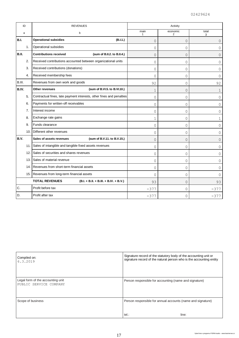| ID           |      | <b>REVENUES</b>                                                      | Activity             |               |                |
|--------------|------|----------------------------------------------------------------------|----------------------|---------------|----------------|
| a            |      | b                                                                    | main<br>$\mathbf{1}$ | economic<br>2 | total<br>3     |
| B.I.         |      | <b>Operational subsidies</b><br>(B.1.1.)                             | $\overline{0}$       | $\Omega$      | $\overline{0}$ |
|              | 1.   | Operational subsidies                                                | 0                    | 0             | 0              |
| <b>B.II.</b> |      | <b>Contributions received</b><br>(sum of B.II.2. to B.II.4.)         | $\overline{0}$       | $\Omega$      | $\overline{0}$ |
|              | 2.   | Received contributions accounted between organizational units        | $\mathbf 0$          | 0             | 0              |
|              | 3.   | Received contributions (donations)                                   | $\mathbf 0$          | 0             | 0              |
|              | 4.   | Received membership fees                                             | $\mathbf 0$          | 0             | $\Omega$       |
| B.III.       |      | Revenues from own work and goods                                     | 92                   | $\Omega$      | 92             |
| B.IV.        |      | Other revenues<br>(sum of B.VI.5. to B.VI.10.)                       | $\mathbf 1$          | $\Omega$      | 1              |
|              | 5.   | Contractual fines, late payment interests, other fines and penalties | $\Omega$             | 0             | $\Omega$       |
|              | 6.   | Payments for written-off receivables                                 | $\mathbf 0$          | 0             | $\Omega$       |
|              | 7.   | Interest income                                                      | $\mathbf 0$          | 0             | 0              |
|              | 8.   | Exchange rate gains                                                  | $\mathbf{1}$         | 0             | 1              |
|              | 9.   | Funds clearance                                                      | $\mathbf 0$          | 0             | $\Omega$       |
|              | 10.1 | Different other revenues                                             | 0                    | 0             | 0              |
| B.V.         |      | Sales of assets revenues<br>(sum of B.V.11. to B.V.15.)              | $\circ$              | $\Omega$      | $\Omega$       |
|              | 11.1 | Sales of intangible and tangible fixed assets revenues               | $\mathbf 0$          | 0             | 0              |
|              | 12.  | Sales of securities and shares revenues                              | $\mathbf 0$          | 0             | 0              |
|              | 13.  | Sales of material revenue                                            | $\circ$              | 0             | $\Omega$       |
|              | 14.  | Revenues from short-term financial assets                            | $\mathbf 0$          | 0             | $\Omega$       |
|              |      | 15. Revenues from long-term financial assets                         | $\Omega$             | 0             | <sup>n</sup>   |
|              |      | <b>TOTAL REVENUES</b><br>$(B.I. + B.I.I. + B.III. + B.IV. + B.V.)$   | 93                   | 0             | 93             |
| C.           |      | Profit before tax                                                    | $-377$               | 0             | $-377$         |
| D.           |      | Profit after tax                                                     | $-377$               | 0             | $-377$         |

| Compiled on:<br>6.3.2019                                    | Signature record of the statutory body of the accounting unit or<br>signature record of the natural person who is the accounting entity |
|-------------------------------------------------------------|-----------------------------------------------------------------------------------------------------------------------------------------|
| Legal form of the accounting unit<br>PUBLIC SERVICE COMPANY | Person responsible for accounting (name and signature)                                                                                  |
| Scope of business                                           | Person responsible for annual accounts (name and signature)<br>$tel.$ :<br>line:                                                        |